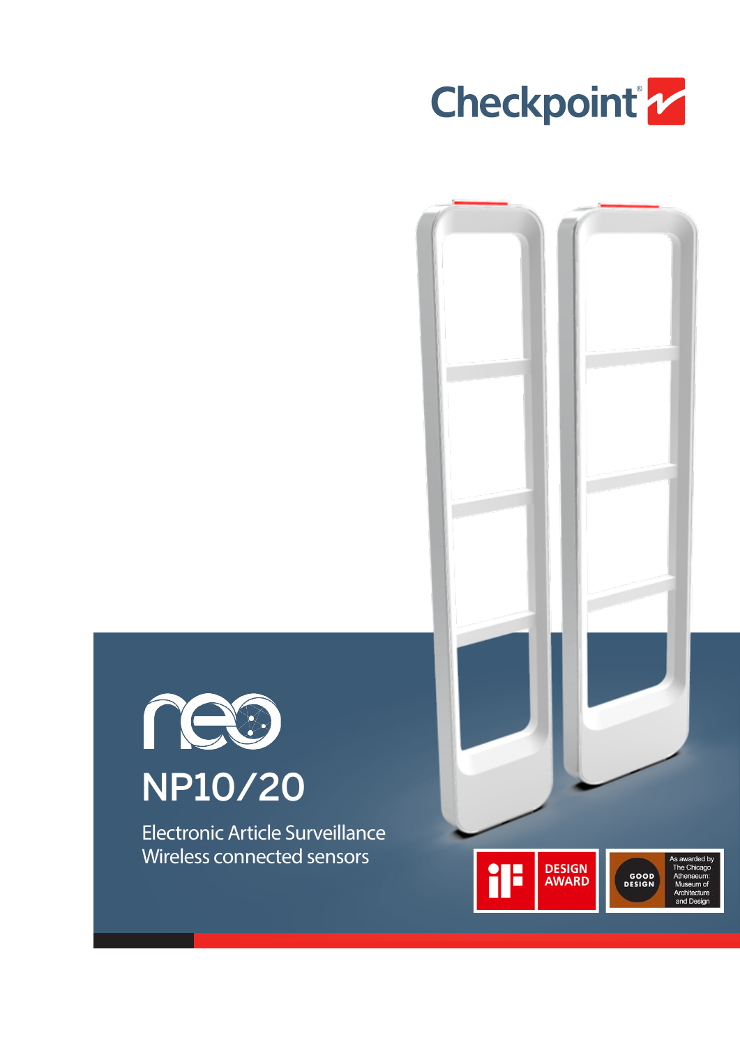





Electronic Article Surveillance Wireless connected sensors